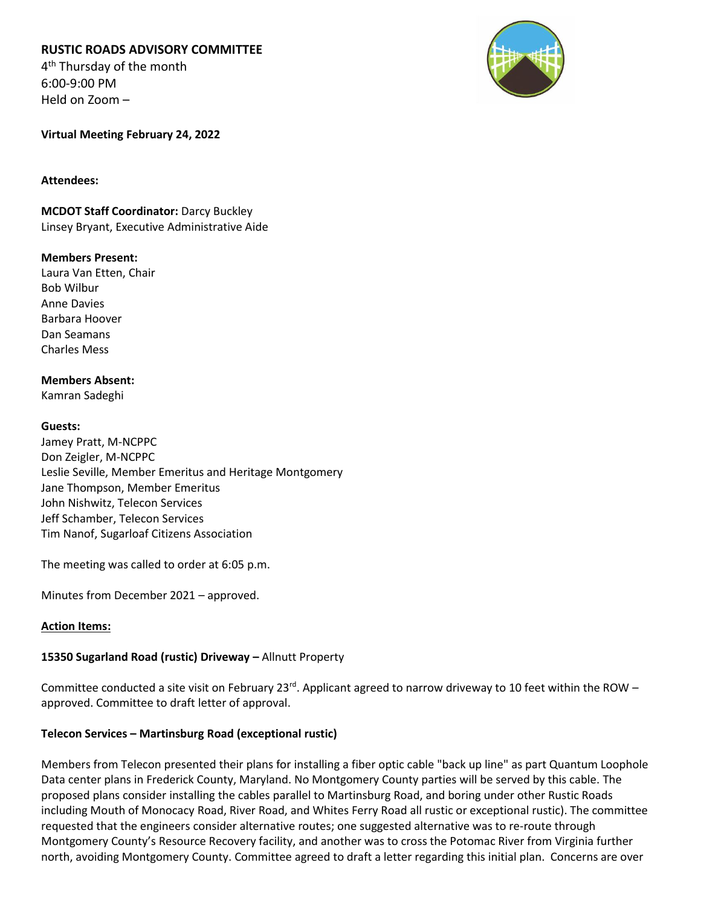# **RUSTIC ROADS ADVISORY COMMITTEE**

4<sup>th</sup> Thursday of the month 6:00-9:00 PM Held on Zoom –



**Virtual Meeting February 24, 2022**

#### **Attendees:**

**MCDOT Staff Coordinator:** Darcy Buckley Linsey Bryant, Executive Administrative Aide

### **Members Present:**

Laura Van Etten, Chair Bob Wilbur Anne Davies Barbara Hoover Dan Seamans Charles Mess

### **Members Absent:**

Kamran Sadeghi

### **Guests:**

Jamey Pratt, M-NCPPC Don Zeigler, M-NCPPC Leslie Seville, Member Emeritus and Heritage Montgomery Jane Thompson, Member Emeritus John Nishwitz, Telecon Services Jeff Schamber, Telecon Services Tim Nanof, Sugarloaf Citizens Association

The meeting was called to order at 6:05 p.m.

Minutes from December 2021 – approved.

# **Action Items:**

# **15350 Sugarland Road (rustic) Driveway –** Allnutt Property

Committee conducted a site visit on February 23 $rd$ . Applicant agreed to narrow driveway to 10 feet within the ROW – approved. Committee to draft letter of approval.

# **Telecon Services – Martinsburg Road (exceptional rustic)**

Members from Telecon presented their plans for installing a fiber optic cable "back up line" as part Quantum Loophole Data center plans in Frederick County, Maryland. No Montgomery County parties will be served by this cable. The proposed plans consider installing the cables parallel to Martinsburg Road, and boring under other Rustic Roads including Mouth of Monocacy Road, River Road, and Whites Ferry Road all rustic or exceptional rustic). The committee requested that the engineers consider alternative routes; one suggested alternative was to re-route through Montgomery County's Resource Recovery facility, and another was to cross the Potomac River from Virginia further north, avoiding Montgomery County. Committee agreed to draft a letter regarding this initial plan. Concerns are over